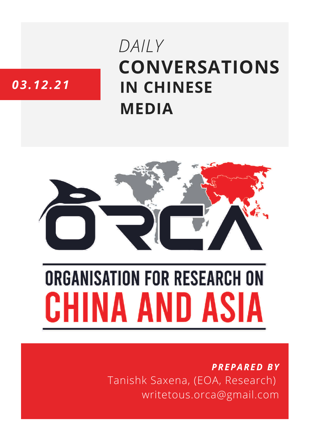## **CONVERSATIONS IN CHINESE MEDIA** *DAILY*

### *03.12.21*



# **ORGANISATION FOR RESEARCH ON** HINA AND ASIA

*PREPARED BY* Tanishk Saxena, (EOA, Research) writetous.orca@gmail.com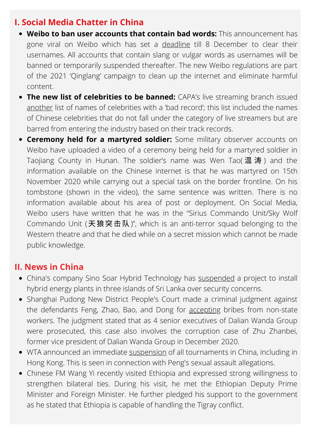#### **I. Social Media Chatter in China**

- **Weibo to ban user accounts that contain bad words:** This announcement has gone viral on Weibo which has set a [deadline](https://www.whatsonweibo.com/no-more-sissyguy-or-douchebag1990-weibo-bans-usernames-containing-bad-words/) till 8 December to clear their usernames. All accounts that contain slang or vulgar words as usernames will be banned or temporarily suspended thereafter. The new Weibo regulations are part of the 2021 'Qinglang' campaign to clean up the internet and eliminate harmful content.
- **The new list of celebrities to be banned:** CAPA's live streaming branch issued [another](https://www.whatsonweibo.com/capa-controversy-continued-li-xuezheng-wont-be-silenced/) list of names of celebrities with a 'bad record'; this list included the names of Chinese celebrities that do not fall under the category of live streamers but are barred from entering the industry based on their track records.
- **Ceremony held for a martyred soldier:** Some military observer accounts on Weibo have uploaded a video of a ceremony being held for a martyred soldier in Taojiang County in Hunan. The soldier's name was Wen Tao(温涛) and the information available on the Chinese internet is that he was martyred on 15th November 2020 while carrying out a special task on the border frontline. On his tombstone (shown in the video), the same sentence was written. There is no information available about his area of post or deployment. On Social Media, Weibo users have written that he was in the "Sirius Commando Unit/Sky Wolf Commando Unit (天狼突击队)", which is an anti-terror squad belonging to the Western theatre and that he died while on a secret mission which cannot be made public knowledge.

#### **II. News in China**

- China's company Sino Soar Hybrid Technology has [suspended](https://www.ndtv.com/world-news/security-concern-from-third-party-china-suspends-projects-in-sri-lanka-2636076) a project to install hybrid energy plants in three islands of Sri Lanka over security concerns.
- Shanghai Pudong New District People's Court made a criminal judgment against the defendants Feng, Zhao, Bao, and Dong for [accepting](https://www.thepaper.cn/newsDetail_forward_15674888) bribes from non-state workers. The judgment stated that as 4 senior executives of Dalian Wanda Group were prosecuted, this case also involves the corruption case of Zhu Zhanbei, former vice president of Dalian Wanda Group in December 2020.
- WTA announced an [immediate](https://www.cnn.com/2021/12/01/tennis/wta-suspend-tournaments-china-peng-shuai-spt-intl/index.html) [suspension](https://edition.cnn.com/2021/12/03/china/peng-shuai-wta-china-state-media-intl-hnk/index.html) of all [tournaments](https://www.cnn.com/2021/12/01/tennis/wta-suspend-tournaments-china-peng-shuai-spt-intl/index.html) in China, including in Hong Kong. This is seen in connection with Peng's sexual assault allegations.
- Chinese FM Wang Yi recently visited Ethiopia and expressed strong willingness to strengthen bilateral ties. During his visit, he met the Ethiopian Deputy Prime Minister and Foreign Minister. He further pledged his support to the government as he stated that Ethiopia is capable of handling the Tigray conflict.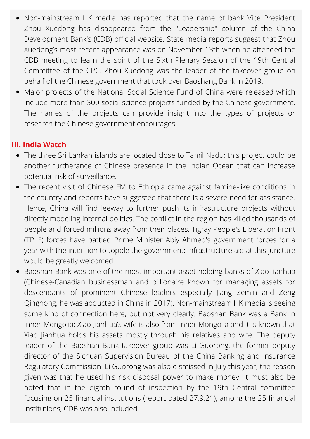- Non-mainstream HK media has reported that the name of bank Vice President Zhou Xuedong has disappeared from the "Leadership" column of the China Development Bank's (CDB) official website. State media reports suggest that Zhou Xuedong's most recent appearance was on November 13th when he attended the CDB meeting to learn the spirit of the Sixth Plenary Session of the 19th Central Committee of the CPC. Zhou Xuedong was the leader of the takeover group on behalf of the Chinese government that took over Baoshang Bank in 2019.
- Major projects of the National Social Science Fund of China were [released](http://www.gzpopss.gov.cn/tzgg/20211126184800589.html) which include more than 300 social science projects funded by the Chinese government. The names of the projects can provide insight into the types of projects or research the Chinese government encourages.

#### **III. India Watch**

- The three Sri Lankan islands are located close to Tamil Nadu; this project could be another furtherance of Chinese presence in the Indian Ocean that can increase potential risk of surveillance.
- The recent visit of Chinese FM to Ethiopia came against famine-like conditions in the country and reports have suggested that there is a severe need for assistance. Hence, China will find leeway to further push its infrastructure projects without directly modeling internal politics. The conflict in the region has killed thousands of people and forced millions away from their places. Tigray People's Liberation Front (TPLF) forces have battled Prime Minister Abiy Ahmed's government forces for a year with the intention to topple the government; infrastructure aid at this juncture would be greatly welcomed.
- Baoshan Bank was one of the most important asset holding banks of Xiao Jianhua (Chinese-Canadian businessman and billionaire known for managing assets for descendants of prominent Chinese leaders especially Jiang Zemin and Zeng Qinghong; he was abducted in China in 2017). Non-mainstream HK media is seeing some kind of connection here, but not very clearly. Baoshan Bank was a Bank in Inner Mongolia; Xiao Jianhua's wife is also from Inner Mongolia and it is known that Xiao Jianhua holds his assets mostly through his relatives and wife. The deputy leader of the Baoshan Bank takeover group was Li Guorong, the former deputy director of the Sichuan Supervision Bureau of the China Banking and Insurance Regulatory Commission. Li Guorong was also dismissed in July this year; the reason given was that he used his risk disposal power to make money. It must also be noted that in the eighth round of inspection by the 19th Central committee focusing on 25 financial institutions (report dated 27.9.21), among the 25 financial institutions, CDB was also included.